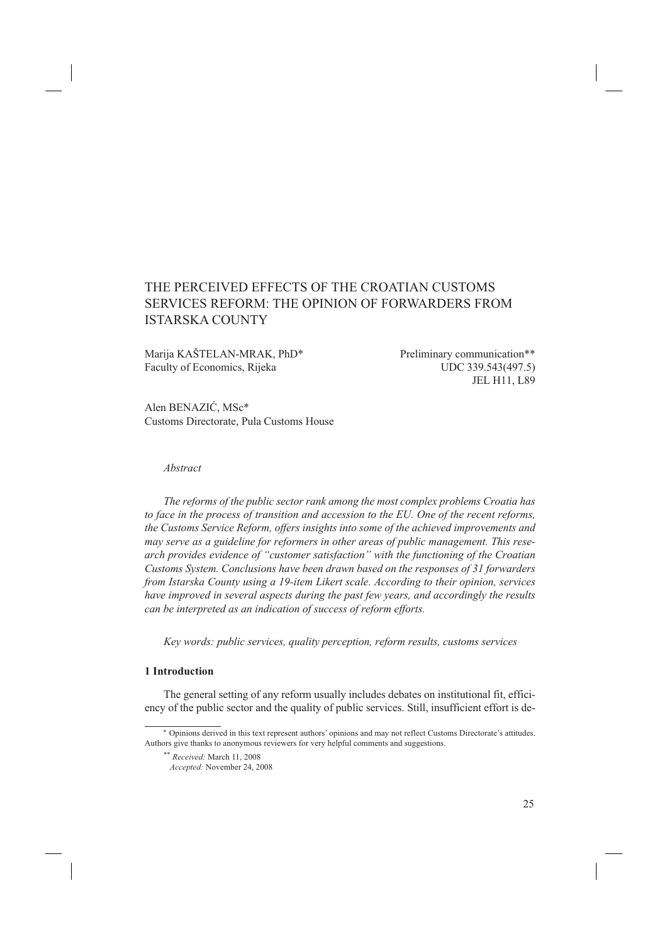# THE PERCEIVED EFFECTS OF THE CROATIAN CUSTOMS SERVICES REFORM: THE OPINION OF FORWARDERS FROM ISTARSKA COUNTY

Marija KAŠTELAN-MRAK, PhD\* Preliminary communication\*\* Faculty of Economics, Rijeka UDC 339.543(497.5)

JEL H11, L89

Alen BENAZIĆ, MSc\* Customs Directorate, Pula Customs House

#### *Abstract*

*The reforms of the public sector rank among the most complex problems Croatia has to face in the process of transition and accession to the EU. One of the recent reforms, the Customs Service Reform, offers insights into some of the achieved improvements and may serve as a guideline for reformers in other areas of public management. This research provides evidence of "customer satisfaction" with the functioning of the Croatian Customs System. Conclusions have been drawn based on the responses of 31 forwarders from Istarska County using a 19-item Likert scale. According to their opinion, services have improved in several aspects during the past few years, and accordingly the results can be interpreted as an indication of success of reform efforts.* 

*Key words: public services, quality perception, reform results, customs services*

#### **1 Introduction**

The general setting of any reform usually includes debates on institutional fit, efficiency of the public sector and the quality of public services. Still, insufficient effort is de-

<sup>\*</sup> Opinions derived in this text represent authors' opinions and may not reflect Customs Directorate's attitudes. Authors give thanks to anonymous reviewers for very helpful comments and suggestions.

<sup>\*\*</sup> *Received:* March 11, 2008

*Accepted:* November 24, 2008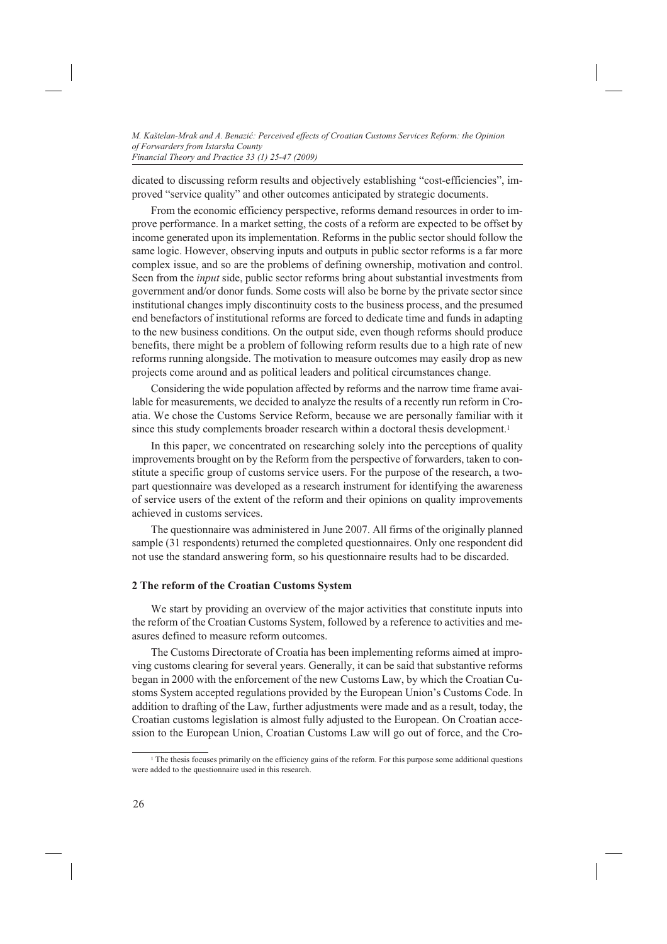dicated to discussing reform results and objectively establishing "cost-efficiencies", improved "service quality" and other outcomes anticipated by strategic documents.

From the economic efficiency perspective, reforms demand resources in order to improve performance. In a market setting, the costs of a reform are expected to be offset by income generated upon its implementation. Reforms in the public sector should follow the same logic. However, observing inputs and outputs in public sector reforms is a far more complex issue, and so are the problems of defining ownership, motivation and control. Seen from the *input* side, public sector reforms bring about substantial investments from government and/or donor funds. Some costs will also be borne by the private sector since institutional changes imply discontinuity costs to the business process, and the presumed end benefactors of institutional reforms are forced to dedicate time and funds in adapting to the new business conditions. On the output side, even though reforms should produce benefits, there might be a problem of following reform results due to a high rate of new reforms running alongside. The motivation to measure outcomes may easily drop as new projects come around and as political leaders and political circumstances change.

Considering the wide population affected by reforms and the narrow time frame available for measurements, we decided to analyze the results of a recently run reform in Croatia. We chose the Customs Service Reform, because we are personally familiar with it since this study complements broader research within a doctoral thesis development.<sup>1</sup>

In this paper, we concentrated on researching solely into the perceptions of quality improvements brought on by the Reform from the perspective of forwarders, taken to constitute a specific group of customs service users. For the purpose of the research, a twopart questionnaire was developed as a research instrument for identifying the awareness of service users of the extent of the reform and their opinions on quality improvements achieved in customs services.

The questionnaire was administered in June 2007. All firms of the originally planned sample (31 respondents) returned the completed questionnaires. Only one respondent did not use the standard answering form, so his questionnaire results had to be discarded.

# **2 The reform of the Croatian Customs System**

We start by providing an overview of the major activities that constitute inputs into the reform of the Croatian Customs System, followed by a reference to activities and measures defined to measure reform outcomes.

The Customs Directorate of Croatia has been implementing reforms aimed at improving customs clearing for several years. Generally, it can be said that substantive reforms began in 2000 with the enforcement of the new Customs Law, by which the Croatian Customs System accepted regulations provided by the European Union's Customs Code. In addition to drafting of the Law, further adjustments were made and as a result, today, the Croatian customs legislation is almost fully adjusted to the European. On Croatian accession to the European Union, Croatian Customs Law will go out of force, and the Cro-

<sup>&</sup>lt;sup>1</sup> The thesis focuses primarily on the efficiency gains of the reform. For this purpose some additional questions were added to the questionnaire used in this research.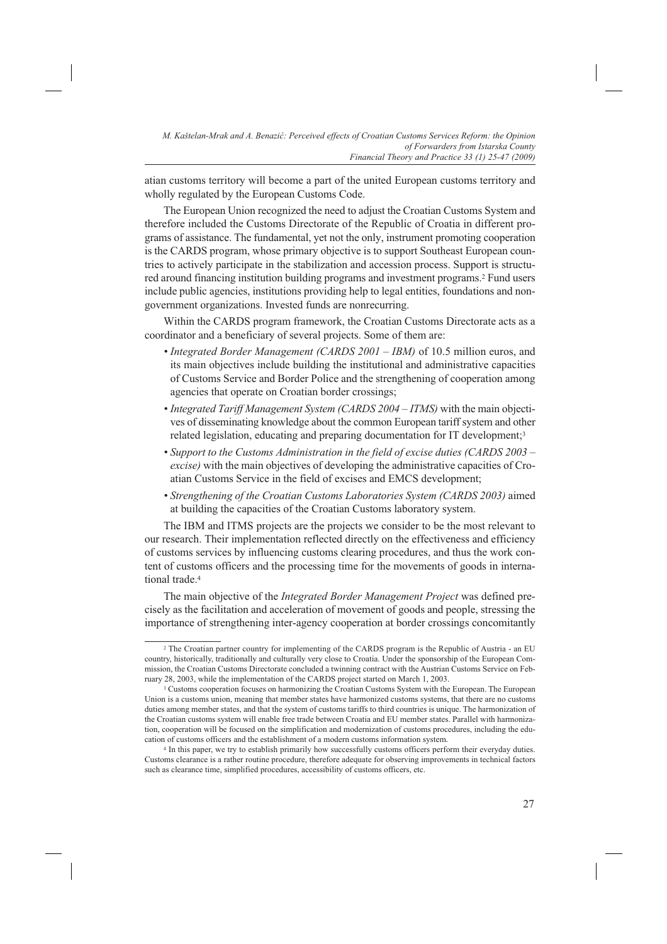atian customs territory will become a part of the united European customs territory and wholly regulated by the European Customs Code.

The European Union recognized the need to adjust the Croatian Customs System and therefore included the Customs Directorate of the Republic of Croatia in different programs of assistance. The fundamental, yet not the only, instrument promoting cooperation is the CARDS program, whose primary objective is to support Southeast European countries to actively participate in the stabilization and accession process. Support is structured around financing institution building programs and investment programs.2 Fund users include public agencies, institutions providing help to legal entities, foundations and nongovernment organizations. Invested funds are nonrecurring.

Within the CARDS program framework, the Croatian Customs Directorate acts as a coordinator and a beneficiary of several projects. Some of them are:

- *Integrated Border Management (CARDS 2001 IBM)* of 10.5 million euros, and its main objectives include building the institutional and administrative capacities of Customs Service and Border Police and the strengthening of cooperation among agencies that operate on Croatian border crossings;
- *Integrated Tariff Management System (CARDS 2004 ITMS)* with the main objectives of disseminating knowledge about the common European tariff system and other related legislation, educating and preparing documentation for IT development;<sup>3</sup>
- *Support to the Customs Administration in the field of excise duties (CARDS 2003 excise)* with the main objectives of developing the administrative capacities of Croatian Customs Service in the field of excises and EMCS development;
- *Strengthening of the Croatian Customs Laboratories System (CARDS 2003)* aimed at building the capacities of the Croatian Customs laboratory system.

The IBM and ITMS projects are the projects we consider to be the most relevant to our research. Their implementation reflected directly on the effectiveness and efficiency of customs services by influencing customs clearing procedures, and thus the work content of customs officers and the processing time for the movements of goods in international trade.4

The main objective of the *Integrated Border Management Project* was defined precisely as the facilitation and acceleration of movement of goods and people, stressing the importance of strengthening inter-agency cooperation at border crossings concomitantly

<sup>2</sup> The Croatian partner country for implementing of the CARDS program is the Republic of Austria - an EU country, historically, traditionally and culturally very close to Croatia. Under the sponsorship of the European Commission, the Croatian Customs Directorate concluded a twinning contract with the Austrian Customs Service on February 28, 2003, while the implementation of the CARDS project started on March 1, 2003.

<sup>&</sup>lt;sup>3</sup> Customs cooperation focuses on harmonizing the Croatian Customs System with the European. The European Union is a customs union, meaning that member states have harmonized customs systems, that there are no customs duties among member states, and that the system of customs tariffs to third countries is unique. The harmonization of the Croatian customs system will enable free trade between Croatia and EU member states. Parallel with harmonization, cooperation will be focused on the simplification and modernization of customs procedures, including the education of customs officers and the establishment of a modern customs information system.

<sup>4</sup> In this paper, we try to establish primarily how successfully customs officers perform their everyday duties. Customs clearance is a rather routine procedure, therefore adequate for observing improvements in technical factors such as clearance time, simplified procedures, accessibility of customs officers, etc.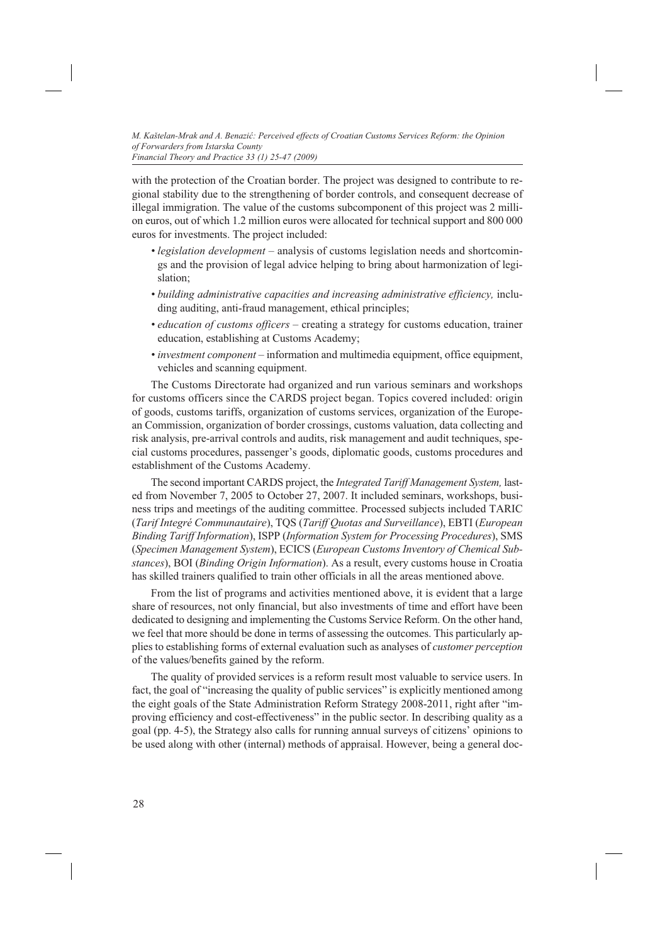with the protection of the Croatian border. The project was designed to contribute to regional stability due to the strengthening of border controls, and consequent decrease of illegal immigration. The value of the customs subcomponent of this project was 2 million euros, out of which 1.2 million euros were allocated for technical support and 800 000 euros for investments. The project included:

- *legislation development* analysis of customs legislation needs and shortcomings and the provision of legal advice helping to bring about harmonization of legislation;
- *building administrative capacities and increasing administrative efficiency,* including auditing, anti-fraud management, ethical principles;
- *education of customs officers*  creating a strategy for customs education, trainer education, establishing at Customs Academy;
- *investment component* information and multimedia equipment, office equipment, vehicles and scanning equipment.

The Customs Directorate had organized and run various seminars and workshops for customs officers since the CARDS project began. Topics covered included: origin of goods, customs tariffs, organization of customs services, organization of the European Commission, organization of border crossings, customs valuation, data collecting and risk analysis, pre-arrival controls and audits, risk management and audit techniques, special customs procedures, passenger's goods, diplomatic goods, customs procedures and establishment of the Customs Academy.

The second important CARDS project, the *Integrated Tariff Management System,* lasted from November 7, 2005 to October 27, 2007. It included seminars, workshops, business trips and meetings of the auditing committee. Processed subjects included TARIC (*Tarif Integré Communautaire*), TQS (*Tariff Quotas and Surveillance*), EBTI (*European Binding Tariff Information*), ISPP (*Information System for Processing Procedures*), SMS (*Specimen Management System*), ECICS (*European Customs Inventory of Chemical Substances*), BOI (*Binding Origin Information*). As a result, every customs house in Croatia has skilled trainers qualified to train other officials in all the areas mentioned above.

From the list of programs and activities mentioned above, it is evident that a large share of resources, not only financial, but also investments of time and effort have been dedicated to designing and implementing the Customs Service Reform. On the other hand, we feel that more should be done in terms of assessing the outcomes. This particularly applies to establishing forms of external evaluation such as analyses of *customer perception* of the values/benefits gained by the reform.

The quality of provided services is a reform result most valuable to service users. In fact, the goal of "increasing the quality of public services" is explicitly mentioned among the eight goals of the State Administration Reform Strategy 2008-2011, right after "improving efficiency and cost-effectiveness" in the public sector. In describing quality as a goal (pp. 4-5), the Strategy also calls for running annual surveys of citizens' opinions to be used along with other (internal) methods of appraisal. However, being a general doc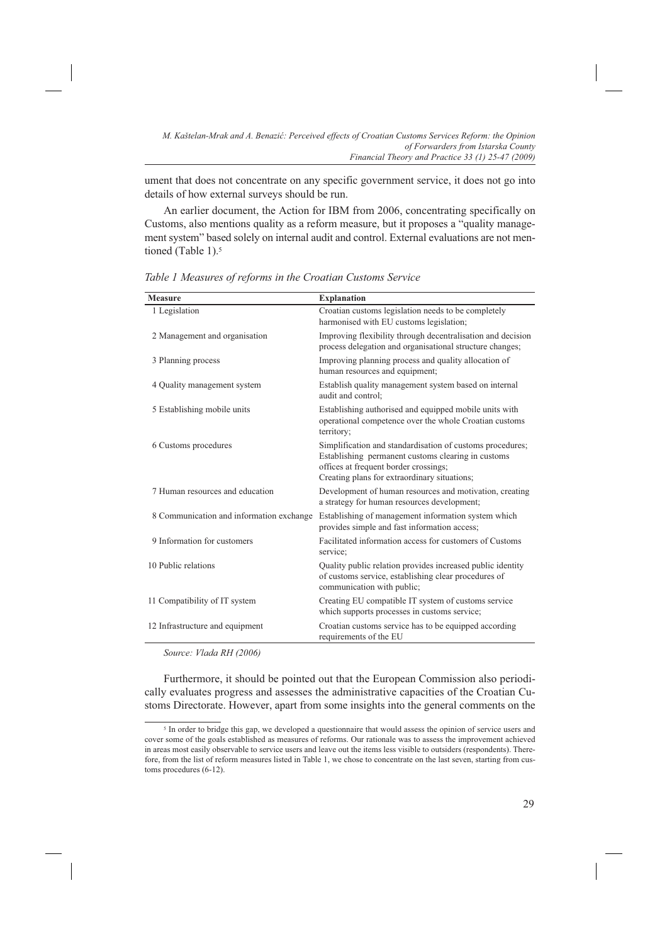ument that does not concentrate on any specific government service, it does not go into details of how external surveys should be run.

An earlier document, the Action for IBM from 2006, concentrating specifically on Customs, also mentions quality as a reform measure, but it proposes a "quality management system" based solely on internal audit and control. External evaluations are not mentioned (Table 1).<sup>5</sup>

| <b>Measure</b>                           | <b>Explanation</b>                                                                                                                                                                                       |
|------------------------------------------|----------------------------------------------------------------------------------------------------------------------------------------------------------------------------------------------------------|
| 1 Legislation                            | Croatian customs legislation needs to be completely<br>harmonised with EU customs legislation;                                                                                                           |
| 2 Management and organisation            | Improving flexibility through decentralisation and decision<br>process delegation and organisational structure changes;                                                                                  |
| 3 Planning process                       | Improving planning process and quality allocation of<br>human resources and equipment;                                                                                                                   |
| 4 Quality management system              | Establish quality management system based on internal<br>audit and control:                                                                                                                              |
| 5 Establishing mobile units              | Establishing authorised and equipped mobile units with<br>operational competence over the whole Croatian customs<br>territory;                                                                           |
| 6 Customs procedures                     | Simplification and standardisation of customs procedures;<br>Establishing permanent customs clearing in customs<br>offices at frequent border crossings;<br>Creating plans for extraordinary situations; |
| 7 Human resources and education          | Development of human resources and motivation, creating<br>a strategy for human resources development;                                                                                                   |
| 8 Communication and information exchange | Establishing of management information system which<br>provides simple and fast information access;                                                                                                      |
| 9 Information for customers              | Facilitated information access for customers of Customs<br>service;                                                                                                                                      |
| 10 Public relations                      | Quality public relation provides increased public identity<br>of customs service, establishing clear procedures of<br>communication with public;                                                         |
| 11 Compatibility of IT system            | Creating EU compatible IT system of customs service<br>which supports processes in customs service;                                                                                                      |
| 12 Infrastructure and equipment          | Croatian customs service has to be equipped according<br>requirements of the EU                                                                                                                          |

*Table 1 Measures of reforms in the Croatian Customs Service*

*Source: Vlada RH (2006)*

Furthermore, it should be pointed out that the European Commission also periodically evaluates progress and assesses the administrative capacities of the Croatian Customs Directorate. However, apart from some insights into the general comments on the

<sup>5</sup> In order to bridge this gap, we developed a questionnaire that would assess the opinion of service users and cover some of the goals established as measures of reforms. Our rationale was to assess the improvement achieved in areas most easily observable to service users and leave out the items less visible to outsiders (respondents). Therefore, from the list of reform measures listed in Table 1, we chose to concentrate on the last seven, starting from customs procedures (6-12).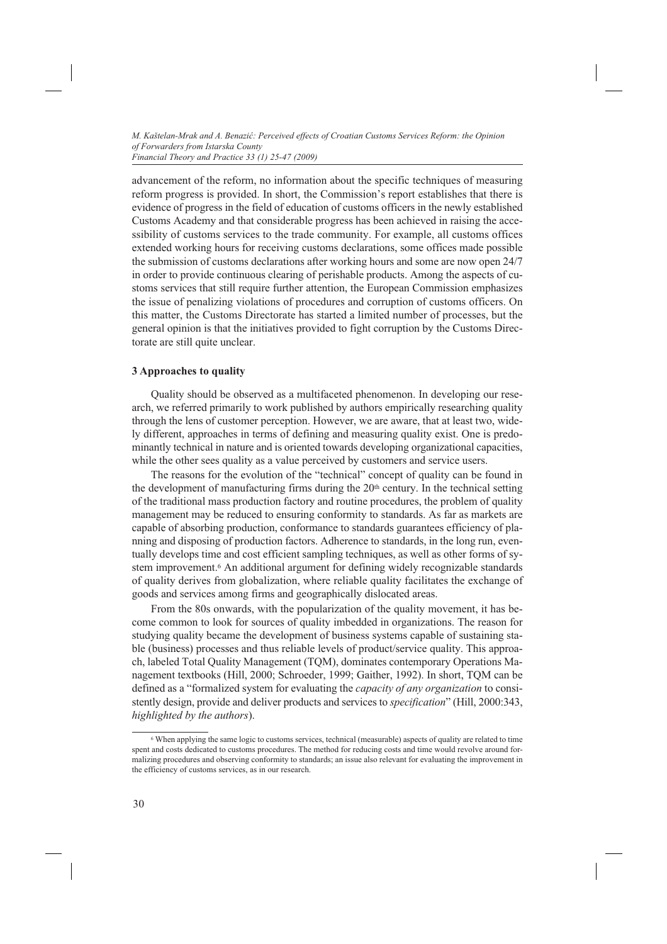advancement of the reform, no information about the specific techniques of measuring reform progress is provided. In short, the Commission's report establishes that there is evidence of progress in the field of education of customs officers in the newly established Customs Academy and that considerable progress has been achieved in raising the accessibility of customs services to the trade community. For example, all customs offices extended working hours for receiving customs declarations, some offices made possible the submission of customs declarations after working hours and some are now open 24/7 in order to provide continuous clearing of perishable products. Among the aspects of customs services that still require further attention, the European Commission emphasizes the issue of penalizing violations of procedures and corruption of customs officers. On this matter, the Customs Directorate has started a limited number of processes, but the general opinion is that the initiatives provided to fight corruption by the Customs Directorate are still quite unclear.

### **3 Approaches to quality**

Quality should be observed as a multifaceted phenomenon. In developing our research, we referred primarily to work published by authors empirically researching quality through the lens of customer perception. However, we are aware, that at least two, widely different, approaches in terms of defining and measuring quality exist. One is predominantly technical in nature and is oriented towards developing organizational capacities, while the other sees quality as a value perceived by customers and service users.

The reasons for the evolution of the "technical" concept of quality can be found in the development of manufacturing firms during the  $20<sup>th</sup>$  century. In the technical setting of the traditional mass production factory and routine procedures, the problem of quality management may be reduced to ensuring conformity to standards. As far as markets are capable of absorbing production, conformance to standards guarantees efficiency of planning and disposing of production factors. Adherence to standards, in the long run, eventually develops time and cost efficient sampling techniques, as well as other forms of system improvement.<sup>6</sup> An additional argument for defining widely recognizable standards of quality derives from globalization, where reliable quality facilitates the exchange of goods and services among firms and geographically dislocated areas.

From the 80s onwards, with the popularization of the quality movement, it has become common to look for sources of quality imbedded in organizations. The reason for studying quality became the development of business systems capable of sustaining stable (business) processes and thus reliable levels of product/service quality. This approach, labeled Total Quality Management (TQM), dominates contemporary Operations Management textbooks (Hill, 2000; Schroeder, 1999; Gaither, 1992). In short, TQM can be defined as a "formalized system for evaluating the *capacity of any organization* to consistently design, provide and deliver products and services to *specification*" (Hill, 2000:343, *highlighted by the authors*).

<sup>6</sup> When applying the same logic to customs services, technical (measurable) aspects of quality are related to time spent and costs dedicated to customs procedures. The method for reducing costs and time would revolve around formalizing procedures and observing conformity to standards; an issue also relevant for evaluating the improvement in the efficiency of customs services, as in our research.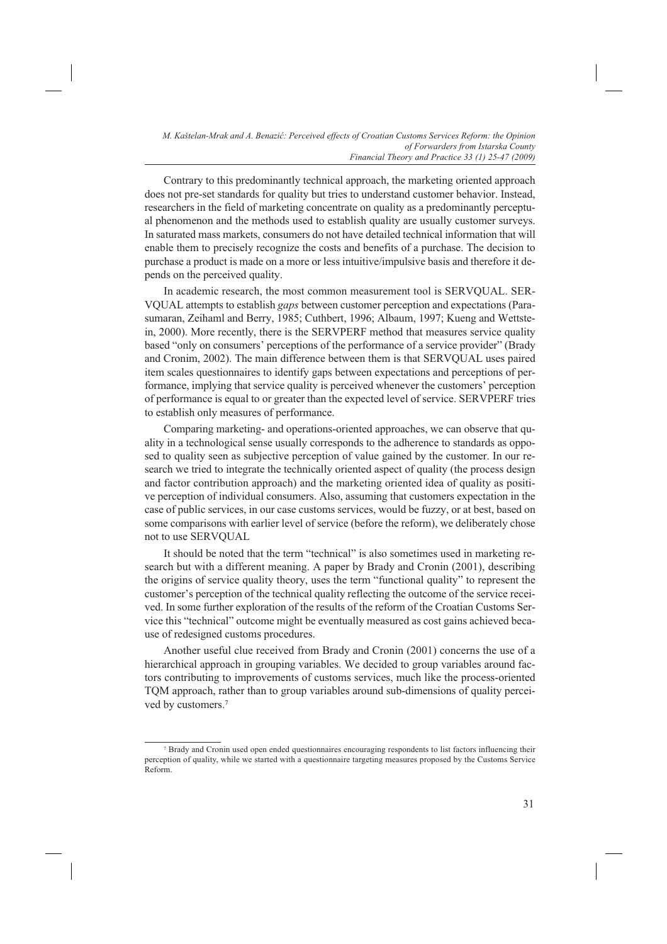Contrary to this predominantly technical approach, the marketing oriented approach does not pre-set standards for quality but tries to understand customer behavior. Instead, researchers in the field of marketing concentrate on quality as a predominantly perceptual phenomenon and the methods used to establish quality are usually customer surveys. In saturated mass markets, consumers do not have detailed technical information that will enable them to precisely recognize the costs and benefits of a purchase. The decision to purchase a product is made on a more or less intuitive/impulsive basis and therefore it depends on the perceived quality.

In academic research, the most common measurement tool is SERVQUAL. SER-VQUAL attempts to establish *gaps* between customer perception and expectations (Parasumaran, Zeihaml and Berry, 1985; Cuthbert, 1996; Albaum, 1997; Kueng and Wettstein, 2000). More recently, there is the SERVPERF method that measures service quality based "only on consumers' perceptions of the performance of a service provider" (Brady and Cronim, 2002). The main difference between them is that SERVQUAL uses paired item scales questionnaires to identify gaps between expectations and perceptions of performance, implying that service quality is perceived whenever the customers' perception of performance is equal to or greater than the expected level of service. SERVPERF tries to establish only measures of performance.

Comparing marketing- and operations-oriented approaches, we can observe that quality in a technological sense usually corresponds to the adherence to standards as opposed to quality seen as subjective perception of value gained by the customer. In our research we tried to integrate the technically oriented aspect of quality (the process design and factor contribution approach) and the marketing oriented idea of quality as positive perception of individual consumers. Also, assuming that customers expectation in the case of public services, in our case customs services, would be fuzzy, or at best, based on some comparisons with earlier level of service (before the reform), we deliberately chose not to use SERVQUAL

It should be noted that the term "technical" is also sometimes used in marketing research but with a different meaning. A paper by Brady and Cronin (2001), describing the origins of service quality theory, uses the term "functional quality" to represent the customer's perception of the technical quality reflecting the outcome of the service received. In some further exploration of the results of the reform of the Croatian Customs Service this "technical" outcome might be eventually measured as cost gains achieved because of redesigned customs procedures.

Another useful clue received from Brady and Cronin (2001) concerns the use of a hierarchical approach in grouping variables. We decided to group variables around factors contributing to improvements of customs services, much like the process-oriented TQM approach, rather than to group variables around sub-dimensions of quality perceived by customers.7

<sup>7</sup> Brady and Cronin used open ended questionnaires encouraging respondents to list factors influencing their perception of quality, while we started with a questionnaire targeting measures proposed by the Customs Service Reform.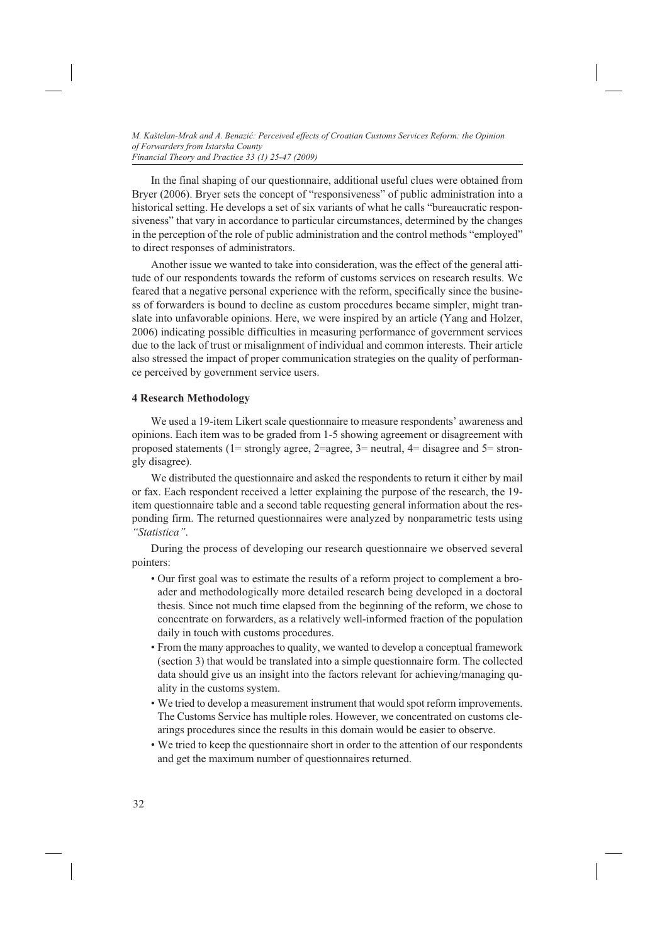In the final shaping of our questionnaire, additional useful clues were obtained from Bryer (2006). Bryer sets the concept of "responsiveness" of public administration into a historical setting. He develops a set of six variants of what he calls "bureaucratic responsiveness" that vary in accordance to particular circumstances, determined by the changes in the perception of the role of public administration and the control methods "employed" to direct responses of administrators.

Another issue we wanted to take into consideration, was the effect of the general attitude of our respondents towards the reform of customs services on research results. We feared that a negative personal experience with the reform, specifically since the business of forwarders is bound to decline as custom procedures became simpler, might translate into unfavorable opinions. Here, we were inspired by an article (Yang and Holzer, 2006) indicating possible difficulties in measuring performance of government services due to the lack of trust or misalignment of individual and common interests. Their article also stressed the impact of proper communication strategies on the quality of performance perceived by government service users.

## **4 Research Methodology**

We used a 19-item Likert scale questionnaire to measure respondents' awareness and opinions. Each item was to be graded from 1-5 showing agreement or disagreement with proposed statements (1= strongly agree, 2=agree, 3= neutral, 4= disagree and 5= strongly disagree).

We distributed the questionnaire and asked the respondents to return it either by mail or fax. Each respondent received a letter explaining the purpose of the research, the 19 item questionnaire table and a second table requesting general information about the responding firm. The returned questionnaires were analyzed by nonparametric tests using *"Statistica"*.

During the process of developing our research questionnaire we observed several pointers:

- Our first goal was to estimate the results of a reform project to complement a broader and methodologically more detailed research being developed in a doctoral thesis. Since not much time elapsed from the beginning of the reform, we chose to concentrate on forwarders, as a relatively well-informed fraction of the population daily in touch with customs procedures.
- From the many approaches to quality, we wanted to develop a conceptual framework (section 3) that would be translated into a simple questionnaire form. The collected data should give us an insight into the factors relevant for achieving/managing quality in the customs system.
- We tried to develop a measurement instrument that would spot reform improvements. The Customs Service has multiple roles. However, we concentrated on customs clearings procedures since the results in this domain would be easier to observe.
- We tried to keep the questionnaire short in order to the attention of our respondents and get the maximum number of questionnaires returned.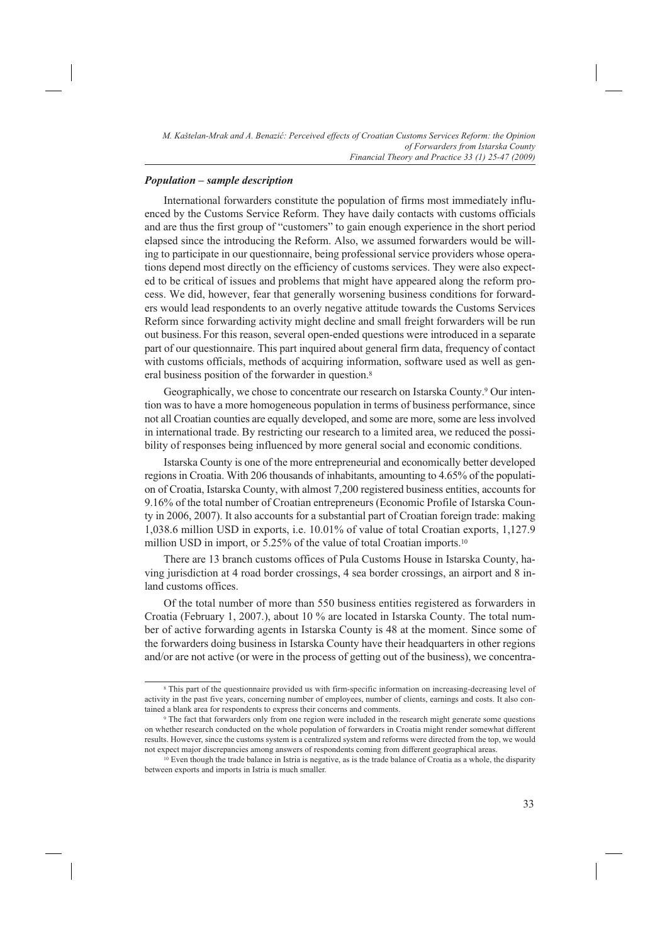### *Population – sample description*

International forwarders constitute the population of firms most immediately influenced by the Customs Service Reform. They have daily contacts with customs officials and are thus the first group of "customers" to gain enough experience in the short period elapsed since the introducing the Reform. Also, we assumed forwarders would be willing to participate in our questionnaire, being professional service providers whose operations depend most directly on the efficiency of customs services. They were also expected to be critical of issues and problems that might have appeared along the reform process. We did, however, fear that generally worsening business conditions for forwarders would lead respondents to an overly negative attitude towards the Customs Services Reform since forwarding activity might decline and small freight forwarders will be run out business.For this reason, several open-ended questions were introduced in a separate part of our questionnaire. This part inquired about general firm data, frequency of contact with customs officials, methods of acquiring information, software used as well as general business position of the forwarder in question.<sup>8</sup>

Geographically, we chose to concentrate our research on Istarska County.<sup>9</sup> Our intention was to have a more homogeneous population in terms of business performance, since not all Croatian counties are equally developed, and some are more, some are less involved in international trade. By restricting our research to a limited area, we reduced the possibility of responses being influenced by more general social and economic conditions.

Istarska County is one of the more entrepreneurial and economically better developed regions in Croatia. With 206 thousands of inhabitants, amounting to 4.65% of the population of Croatia, Istarska County, with almost 7,200 registered business entities, accounts for 9.16% of the total number of Croatian entrepreneurs (Economic Profile of Istarska County in 2006, 2007). It also accounts for a substantial part of Croatian foreign trade: making 1,038.6 million USD in exports, i.e. 10.01% of value of total Croatian exports, 1,127.9 million USD in import, or 5.25% of the value of total Croatian imports.<sup>10</sup>

There are 13 branch customs offices of Pula Customs House in Istarska County, having jurisdiction at 4 road border crossings, 4 sea border crossings, an airport and 8 inland customs offices.

Of the total number of more than 550 business entities registered as forwarders in Croatia (February 1, 2007.), about 10 % are located in Istarska County. The total number of active forwarding agents in Istarska County is 48 at the moment. Since some of the forwarders doing business in Istarska County have their headquarters in other regions and/or are not active (or were in the process of getting out of the business), we concentra-

<sup>8</sup> This part of the questionnaire provided us with firm-specific information on increasing-decreasing level of activity in the past five years, concerning number of employees, number of clients, earnings and costs. It also contained a blank area for respondents to express their concerns and comments.<br><sup>9</sup> The fact that forwarders only from one region were included in the research might generate some questions

on whether research conducted on the whole population of forwarders in Croatia might render somewhat different results. However, since the customs system is a centralized system and reforms were directed from the top, we would not expect major discrepancies among answers of respondents coming from different geographical areas.<br><sup>10</sup> Even though the trade balance in Istria is negative, as is the trade balance of Croatia as a whole, the disparity

between exports and imports in Istria is much smaller.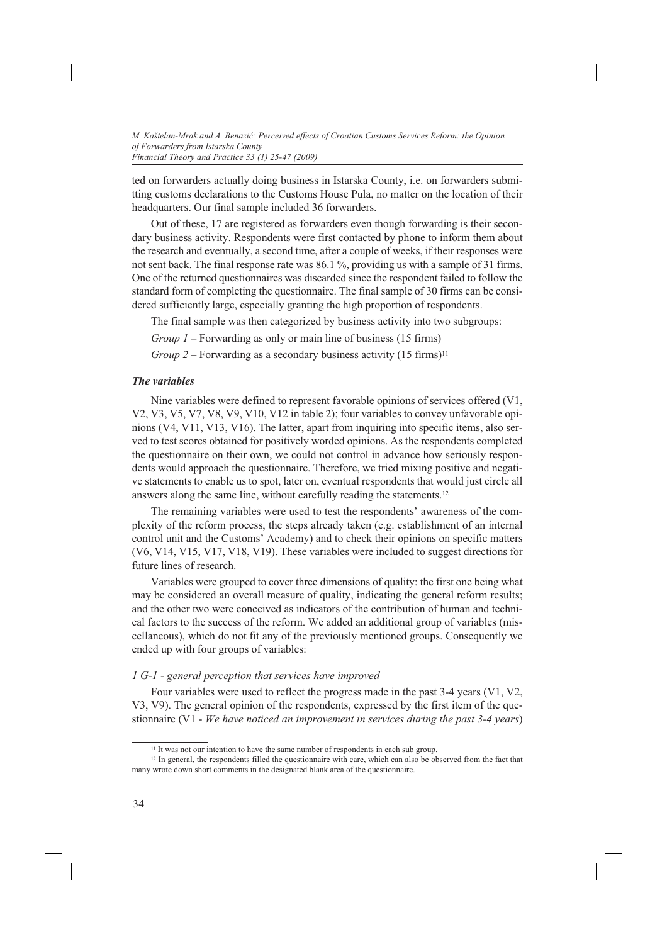ted on forwarders actually doing business in Istarska County, i.e. on forwarders submitting customs declarations to the Customs House Pula, no matter on the location of their headquarters. Our final sample included 36 forwarders.

Out of these, 17 are registered as forwarders even though forwarding is their secondary business activity. Respondents were first contacted by phone to inform them about the research and eventually, a second time, after a couple of weeks, if their responses were not sent back. The final response rate was 86.1 %, providing us with a sample of 31 firms. One of the returned questionnaires was discarded since the respondent failed to follow the standard form of completing the questionnaire. The final sample of 30 firms can be considered sufficiently large, especially granting the high proportion of respondents.

The final sample was then categorized by business activity into two subgroups:

*Group 1* **–** Forwarding as only or main line of business (15 firms)

*Group 2* – Forwarding as a secondary business activity (15 firms)<sup>11</sup>

### *The variables*

Nine variables were defined to represent favorable opinions of services offered (V1, V2, V3, V5, V7, V8, V9, V10, V12 in table 2); four variables to convey unfavorable opinions (V4, V11, V13, V16). The latter, apart from inquiring into specific items, also served to test scores obtained for positively worded opinions. As the respondents completed the questionnaire on their own, we could not control in advance how seriously respondents would approach the questionnaire. Therefore, we tried mixing positive and negative statements to enable us to spot, later on, eventual respondents that would just circle all answers along the same line, without carefully reading the statements.12

The remaining variables were used to test the respondents' awareness of the complexity of the reform process, the steps already taken (e.g. establishment of an internal control unit and the Customs' Academy) and to check their opinions on specific matters (V6, V14, V15, V17, V18, V19). These variables were included to suggest directions for future lines of research.

Variables were grouped to cover three dimensions of quality: the first one being what may be considered an overall measure of quality, indicating the general reform results; and the other two were conceived as indicators of the contribution of human and technical factors to the success of the reform. We added an additional group of variables (miscellaneous), which do not fit any of the previously mentioned groups. Consequently we ended up with four groups of variables:

#### *1 G-1 - general perception that services have improved*

Four variables were used to reflect the progress made in the past 3-4 years (V1, V2, V3, V9). The general opinion of the respondents, expressed by the first item of the questionnaire (V1 - *We have noticed an improvement in services during the past 3-4 years*)

<sup>&</sup>lt;sup>11</sup> It was not our intention to have the same number of respondents in each sub group.

<sup>&</sup>lt;sup>12</sup> In general, the respondents filled the questionnaire with care, which can also be observed from the fact that many wrote down short comments in the designated blank area of the questionnaire.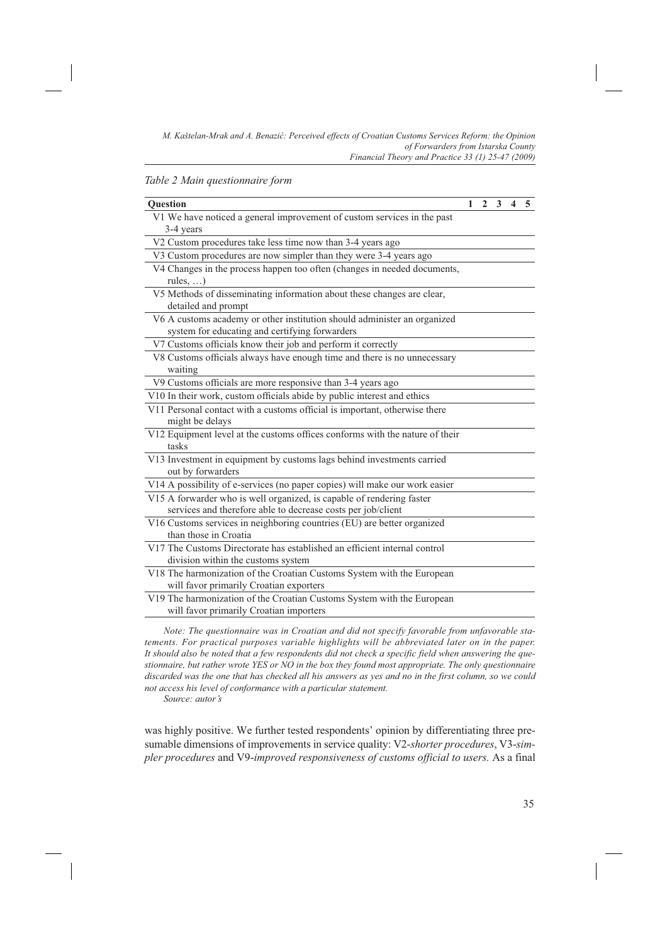#### *Table 2 Main questionnaire form*

| <b>Ouestion</b>                                                                                                            | $\mathbf{1}$ | $\overline{2}$ | $\mathbf{3}$ | $\overline{\mathbf{4}}$ | 5 |
|----------------------------------------------------------------------------------------------------------------------------|--------------|----------------|--------------|-------------------------|---|
| V1 We have noticed a general improvement of custom services in the past<br>3-4 years                                       |              |                |              |                         |   |
| V2 Custom procedures take less time now than 3-4 years ago                                                                 |              |                |              |                         |   |
| V3 Custom procedures are now simpler than they were 3-4 years ago                                                          |              |                |              |                         |   |
| V4 Changes in the process happen too often (changes in needed documents,<br>rules, $\dots$ )                               |              |                |              |                         |   |
| V5 Methods of disseminating information about these changes are clear,<br>detailed and prompt                              |              |                |              |                         |   |
| V6 A customs academy or other institution should administer an organized<br>system for educating and certifying forwarders |              |                |              |                         |   |
| V7 Customs officials know their job and perform it correctly                                                               |              |                |              |                         |   |
| V8 Customs officials always have enough time and there is no unnecessary<br>waiting                                        |              |                |              |                         |   |
| V9 Customs officials are more responsive than 3-4 years ago                                                                |              |                |              |                         |   |
| V10 In their work, custom officials abide by public interest and ethics                                                    |              |                |              |                         |   |
| V11 Personal contact with a customs official is important, otherwise there<br>might be delays                              |              |                |              |                         |   |
| V12 Equipment level at the customs offices conforms with the nature of their<br>tasks                                      |              |                |              |                         |   |
| V13 Investment in equipment by customs lags behind investments carried<br>out by forwarders                                |              |                |              |                         |   |
| V14 A possibility of e-services (no paper copies) will make our work easier                                                |              |                |              |                         |   |
| V15 A forwarder who is well organized, is capable of rendering faster                                                      |              |                |              |                         |   |
| services and therefore able to decrease costs per job/client                                                               |              |                |              |                         |   |
| V16 Customs services in neighboring countries (EU) are better organized<br>than those in Croatia                           |              |                |              |                         |   |
| V17 The Customs Directorate has established an efficient internal control<br>division within the customs system            |              |                |              |                         |   |
| V18 The harmonization of the Croatian Customs System with the European<br>will favor primarily Croatian exporters          |              |                |              |                         |   |
| V19 The harmonization of the Croatian Customs System with the European<br>will favor primarily Croatian importers          |              |                |              |                         |   |

*Note: The questionnaire was in Croatian and did not specify favorable from unfavorable statements. For practical purposes variable highlights will be abbreviated later on in the paper. It should also be noted that a few respondents did not check a specific field when answering the questionnaire, but rather wrote YES or NO in the box they found most appropriate. The only questionnaire discarded was the one that has checked all his answers as yes and no in the first column, so we could not access his level of conformance with a particular statement.*

*Source: autor's*

was highly positive. We further tested respondents' opinion by differentiating three presumable dimensions of improvements in service quality: V2-*shorter procedures*, V3-*simpler procedures* and V9-*improved responsiveness of customs official to users.* As a final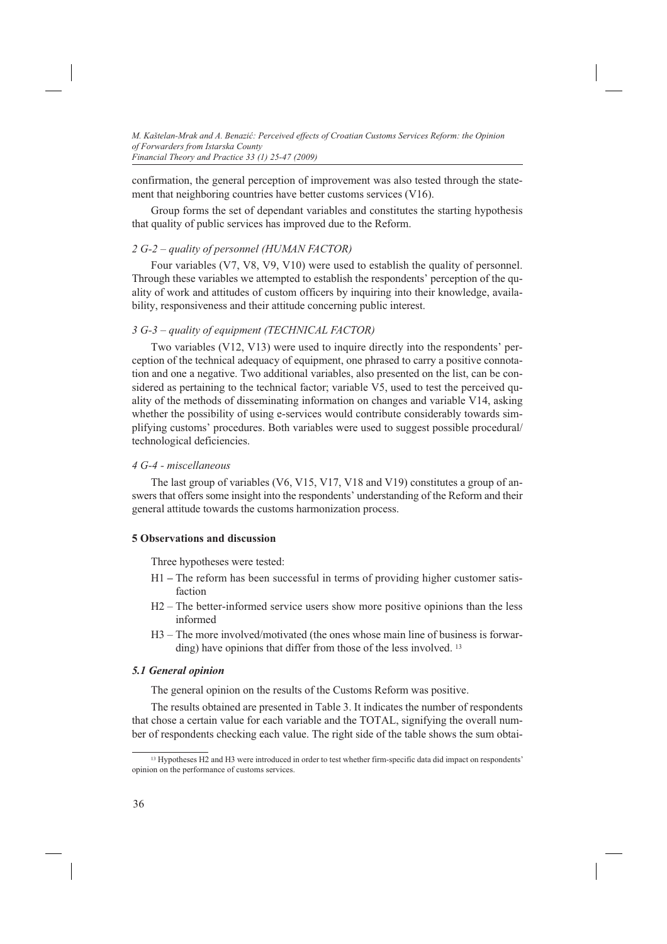confirmation, the general perception of improvement was also tested through the statement that neighboring countries have better customs services (V16).

Group forms the set of dependant variables and constitutes the starting hypothesis that quality of public services has improved due to the Reform.

# *2 G-2 – quality of personnel (HUMAN FACTOR)*

Four variables (V7, V8, V9, V10) were used to establish the quality of personnel. Through these variables we attempted to establish the respondents' perception of the quality of work and attitudes of custom officers by inquiring into their knowledge, availability, responsiveness and their attitude concerning public interest.

## *3 G-3 – quality of equipment (TECHNICAL FACTOR)*

Two variables (V12, V13) were used to inquire directly into the respondents' perception of the technical adequacy of equipment, one phrased to carry a positive connotation and one a negative. Two additional variables, also presented on the list, can be considered as pertaining to the technical factor; variable V5, used to test the perceived quality of the methods of disseminating information on changes and variable V14, asking whether the possibility of using e-services would contribute considerably towards simplifying customs' procedures. Both variables were used to suggest possible procedural/ technological deficiencies.

### *4 G-4 - miscellaneous*

The last group of variables (V6, V15, V17, V18 and V19) constitutes a group of answers that offers some insight into the respondents' understanding of the Reform and their general attitude towards the customs harmonization process.

## **5 Observations and discussion**

Three hypotheses were tested:

- H1 **–** The reform has been successful in terms of providing higher customer satisfaction
- H2 The better-informed service users show more positive opinions than the less informed
- H3 The more involved/motivated (the ones whose main line of business is forwarding) have opinions that differ from those of the less involved. <sup>13</sup>

## *5.1 General opinion*

The general opinion on the results of the Customs Reform was positive.

The results obtained are presented in Table 3. It indicates the number of respondents that chose a certain value for each variable and the TOTAL, signifying the overall number of respondents checking each value. The right side of the table shows the sum obtai-

<sup>13</sup> Hypotheses H2 and H3 were introduced in order to test whether firm-specific data did impact on respondents' opinion on the performance of customs services.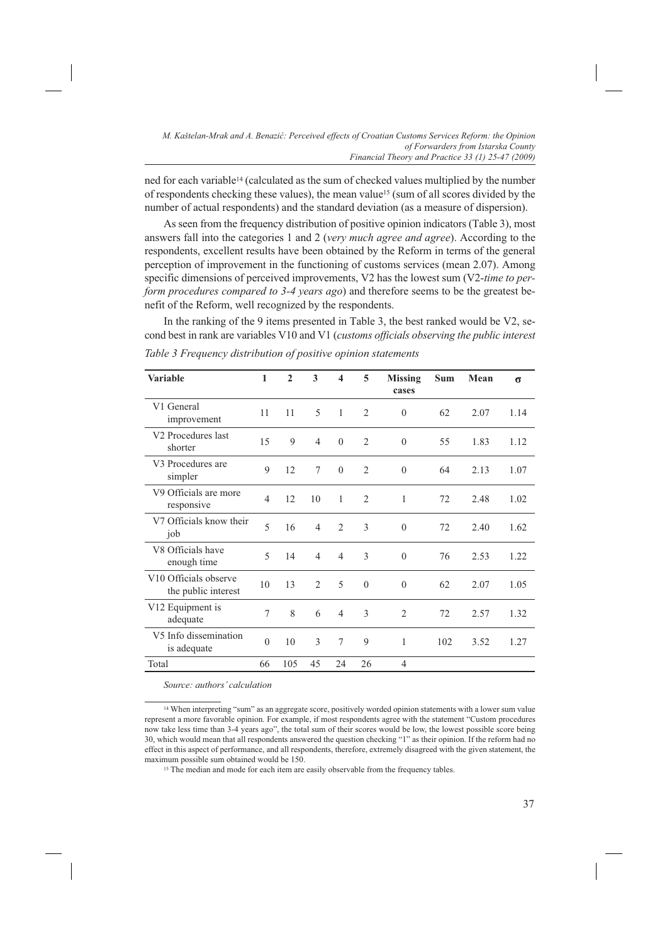ned for each variable14 (calculated as the sum of checked values multiplied by the number of respondents checking these values), the mean value15 (sum of all scores divided by the number of actual respondents) and the standard deviation (as a measure of dispersion).

As seen from the frequency distribution of positive opinion indicators (Table 3), most answers fall into the categories 1 and 2 (*very much agree and agree*). According to the respondents, excellent results have been obtained by the Reform in terms of the general perception of improvement in the functioning of customs services (mean 2.07). Among specific dimensions of perceived improvements, V2 has the lowest sum (V2-*time to perform procedures compared to 3-4 years ago*) and therefore seems to be the greatest benefit of the Reform, well recognized by the respondents.

In the ranking of the 9 items presented in Table 3, the best ranked would be V2, second best in rank are variables V10 and V1 (*customs officials observing the public interest* 

| <b>Variable</b>                                          | 1              | $\overline{2}$ | 3              | $\overline{\mathbf{4}}$ | 5              | <b>Missing</b><br>cases | <b>Sum</b> | Mean | $\sigma$ |
|----------------------------------------------------------|----------------|----------------|----------------|-------------------------|----------------|-------------------------|------------|------|----------|
| V1 General<br>improvement                                | 11             | 11             | 5              | 1                       | $\overline{2}$ | $\Omega$                | 62         | 2.07 | 1.14     |
| V <sub>2</sub> Procedures last<br>shorter                | 15             | 9              | $\overline{4}$ | $\Omega$                | $\overline{2}$ | $\theta$                | 55         | 1.83 | 1.12     |
| V <sub>3</sub> Procedures are<br>simpler                 | $\mathbf Q$    | 12             | 7              | $\Omega$                | $\overline{2}$ | $\Omega$                | 64         | 2.13 | 1.07     |
| V9 Officials are more<br>responsive                      | $\overline{4}$ | 12             | 10             | 1                       | $\overline{2}$ | 1                       | 72         | 2.48 | 1.02     |
| V7 Officials know their<br>job                           | 5              | 16             | $\overline{4}$ | $\mathfrak{D}$          | 3              | $\theta$                | 72         | 2.40 | 1.62     |
| V8 Officials have<br>enough time                         | 5              | 14             | $\overline{4}$ | $\overline{4}$          | 3              | $\theta$                | 76         | 2.53 | 1.22     |
| V <sub>10</sub> Officials observe<br>the public interest | 10             | 13             | $\overline{c}$ | 5                       | $\theta$       | $\theta$                | 62         | 2.07 | 1.05     |
| V12 Equipment is<br>adequate                             | 7              | 8              | 6              | $\overline{4}$          | 3              | $\overline{2}$          | 72         | 2.57 | 1.32     |
| V5 Info dissemination<br>is adequate                     | $\theta$       | 10             | 3              | $\tau$                  | 9              | 1                       | 102        | 3.52 | 1.27     |
| Total                                                    | 66             | 105            | 45             | 24                      | 26             | $\overline{4}$          |            |      |          |

*Table 3 Frequency distribution of positive opinion statements* 

*Source: authors' calculation*

<sup>15</sup> The median and mode for each item are easily observable from the frequency tables.

<sup>14</sup> When interpreting "sum" as an aggregate score, positively worded opinion statements with a lower sum value represent a more favorable opinion. For example, if most respondents agree with the statement "Custom procedures now take less time than 3-4 years ago", the total sum of their scores would be low, the lowest possible score being 30, which would mean that all respondents answered the question checking "1" as their opinion. If the reform had no effect in this aspect of performance, and all respondents, therefore, extremely disagreed with the given statement, the maximum possible sum obtained would be 150.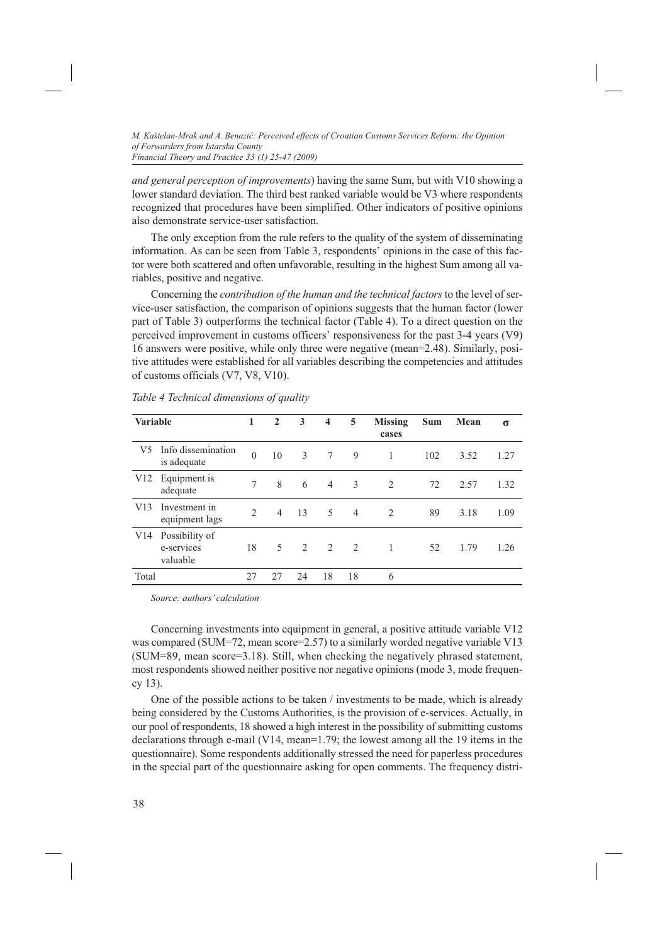*and general perception of improvements*) having the same Sum, but with V10 showing a lower standard deviation. The third best ranked variable would be V3 where respondents recognized that procedures have been simplified. Other indicators of positive opinions also demonstrate service-user satisfaction.

The only exception from the rule refers to the quality of the system of disseminating information. As can be seen from Table 3, respondents' opinions in the case of this factor were both scattered and often unfavorable, resulting in the highest Sum among all variables, positive and negative.

Concerning the *contribution of the human and the technical factors* to the level of service-user satisfaction, the comparison of opinions suggests that the human factor (lower part of Table 3) outperforms the technical factor (Table 4). To a direct question on the perceived improvement in customs officers' responsiveness for the past 3-4 years (V9) 16 answers were positive, while only three were negative (mean=2.48). Similarly, positive attitudes were established for all variables describing the competencies and attitudes of customs officials (V7, V8, V10).

| <b>Variable</b> |                                          | 1                             | $\mathbf{2}$   | 3                             | 4               | 5              | <b>Missing</b><br>cases | Sum | Mean | σ    |
|-----------------|------------------------------------------|-------------------------------|----------------|-------------------------------|-----------------|----------------|-------------------------|-----|------|------|
| V5              | Info dissemination<br>is adequate        | $\theta$                      | 10             | 3                             | $7\overline{ }$ | 9              |                         | 102 | 3.52 | 1.27 |
| V12             | Equipment is<br>adequate                 | 7                             | 8              | 6                             | $\overline{4}$  | 3              | 2                       | 72  | 2.57 | 1.32 |
| V13             | Investment in<br>equipment lags          | $\mathfrak{D}_{\mathfrak{p}}$ | $\overline{4}$ | 13                            | 5               | $\overline{4}$ | $\overline{2}$          | 89  | 3.18 | 1.09 |
| V14             | Possibility of<br>e-services<br>valuable | 18                            | 5              | $\mathfrak{D}_{\mathfrak{p}}$ | 2               | 2              |                         | 52  | 1.79 | 1.26 |
| Total           |                                          | 27                            | 27             | 24                            | 18              | 18             | 6                       |     |      |      |

*Table 4 Technical dimensions of quality*

*Source: authors' calculation*

Concerning investments into equipment in general, a positive attitude variable V12 was compared (SUM=72, mean score=2.57) to a similarly worded negative variable V13 (SUM=89, mean score=3.18). Still, when checking the negatively phrased statement, most respondents showed neither positive nor negative opinions (mode 3, mode frequency 13).

One of the possible actions to be taken / investments to be made, which is already being considered by the Customs Authorities, is the provision of e-services. Actually, in our pool of respondents, 18 showed a high interest in the possibility of submitting customs declarations through e-mail (V14, mean=1.79; the lowest among all the 19 items in the questionnaire). Some respondents additionally stressed the need for paperless procedures in the special part of the questionnaire asking for open comments. The frequency distri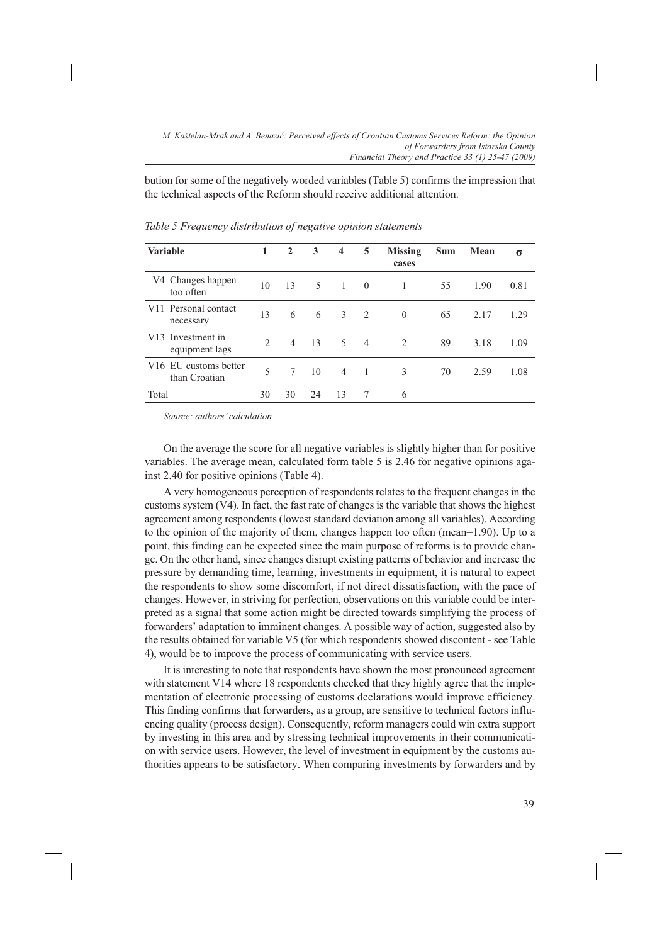bution for some of the negatively worded variables (Table 5) confirms the impression that the technical aspects of the Reform should receive additional attention.

| <b>Variable</b>                                    | 1             | $\mathbf{2}$   | 3  | $\overline{\mathbf{4}}$ | 5              | <b>Missing</b><br>cases | Sum | Mean | σ    |
|----------------------------------------------------|---------------|----------------|----|-------------------------|----------------|-------------------------|-----|------|------|
| V4 Changes happen<br>too often                     | 10            | 13             | 5  | $\overline{1}$          | $\theta$       |                         | 55  | 1.90 | 0.81 |
| V <sub>11</sub> Personal contact<br>necessary      | 13            | 6              | 6  | 3                       | $\mathcal{L}$  | $\theta$                | 65  | 2.17 | 1.29 |
| Investment in<br>V13<br>equipment lags             | $\mathcal{D}$ | $\overline{4}$ | 13 | 5.                      | $\overline{4}$ | 2                       | 89  | 3.18 | 1.09 |
| V <sub>16</sub> EU customs better<br>than Croatian | 5             | 7              | 10 | $\overline{4}$          | 1              | $\mathcal{E}$           | 70  | 2.59 | 1.08 |
| Total                                              | 30            | 30             | 24 | 13                      | 7              | 6                       |     |      |      |

*Table 5 Frequency distribution of negative opinion statements*

*Source: authors' calculation*

On the average the score for all negative variables is slightly higher than for positive variables. The average mean, calculated form table 5 is 2.46 for negative opinions against 2.40 for positive opinions (Table 4).

A very homogeneous perception of respondents relates to the frequent changes in the customs system  $(V4)$ . In fact, the fast rate of changes is the variable that shows the highest agreement among respondents (lowest standard deviation among all variables). According to the opinion of the majority of them, changes happen too often (mean=1.90). Up to a point, this finding can be expected since the main purpose of reforms is to provide change. On the other hand, since changes disrupt existing patterns of behavior and increase the pressure by demanding time, learning, investments in equipment, it is natural to expect the respondents to show some discomfort, if not direct dissatisfaction, with the pace of changes. However, in striving for perfection, observations on this variable could be interpreted as a signal that some action might be directed towards simplifying the process of forwarders' adaptation to imminent changes. A possible way of action, suggested also by the results obtained for variable V5 (for which respondents showed discontent - see Table 4), would be to improve the process of communicating with service users.

It is interesting to note that respondents have shown the most pronounced agreement with statement V14 where 18 respondents checked that they highly agree that the implementation of electronic processing of customs declarations would improve efficiency. This finding confirms that forwarders, as a group, are sensitive to technical factors influencing quality (process design). Consequently, reform managers could win extra support by investing in this area and by stressing technical improvements in their communication with service users. However, the level of investment in equipment by the customs authorities appears to be satisfactory. When comparing investments by forwarders and by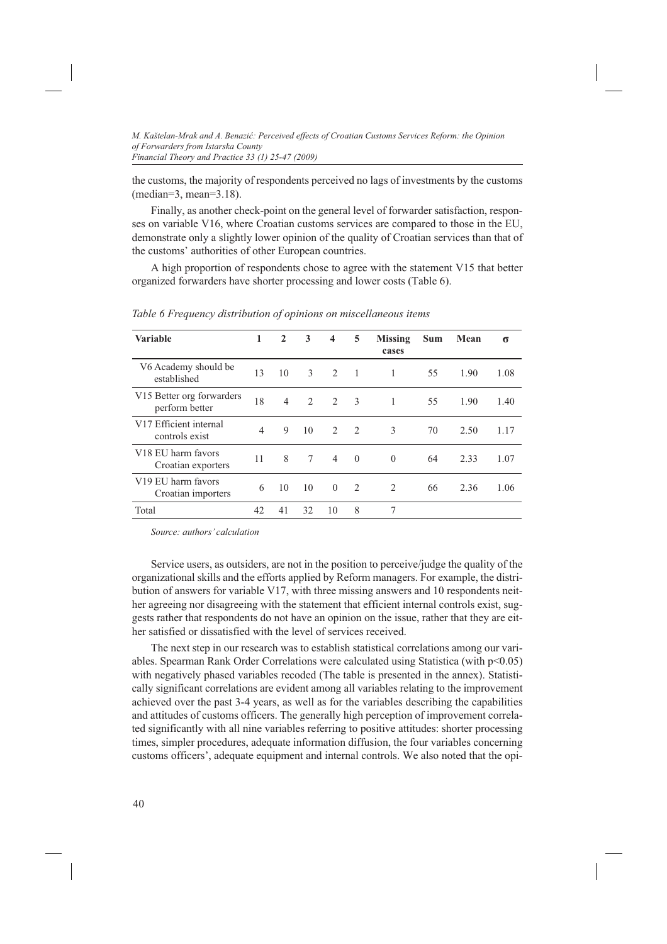the customs, the majority of respondents perceived no lags of investments by the customs (median=3, mean=3.18).

Finally, as another check-point on the general level of forwarder satisfaction, responses on variable V16, where Croatian customs services are compared to those in the EU, demonstrate only a slightly lower opinion of the quality of Croatian services than that of the customs' authorities of other European countries.

A high proportion of respondents chose to agree with the statement V15 that better organized forwarders have shorter processing and lower costs (Table 6).

| <b>Variable</b>                                      | 1              | $\overline{2}$ | 3              | $\overline{\mathbf{4}}$ | 5        | Missing<br>cases | <b>Sum</b> | Mean | σ    |
|------------------------------------------------------|----------------|----------------|----------------|-------------------------|----------|------------------|------------|------|------|
| V6 Academy should be<br>established                  | 13             | 10             | 3              | $\mathfrak{D}$          | 1        | 1                | 55         | 1.90 | 1.08 |
| V15 Better org forwarders<br>perform better          | 18             | $\overline{4}$ | $\mathfrak{D}$ | 2                       | 3        | 1                | 55         | 1.90 | 1.40 |
| V17 Efficient internal<br>controls exist             | $\overline{4}$ | 9              | 10             | $\mathfrak{D}$          | 2        | 3                | 70         | 2.50 | 1.17 |
| V <sub>18</sub> EU harm favors<br>Croatian exporters | 11             | 8              | 7              | $\overline{4}$          | $\theta$ | $\Omega$         | 64         | 2.33 | 1.07 |
| V <sub>19</sub> EU harm favors<br>Croatian importers | 6              | 10             | 10             | $\Omega$                | 2        | 2                | 66         | 2.36 | 1.06 |
| Total                                                | 42             | 41             | 32             | 10                      | 8        | 7                |            |      |      |

*Table 6 Frequency distribution of opinions on miscellaneous items*

*Source: authors' calculation*

Service users, as outsiders, are not in the position to perceive/judge the quality of the organizational skills and the efforts applied by Reform managers. For example, the distribution of answers for variable V17, with three missing answers and 10 respondents neither agreeing nor disagreeing with the statement that efficient internal controls exist, suggests rather that respondents do not have an opinion on the issue, rather that they are either satisfied or dissatisfied with the level of services received.

The next step in our research was to establish statistical correlations among our variables. Spearman Rank Order Correlations were calculated using Statistica (with p<0.05) with negatively phased variables recoded (The table is presented in the annex). Statistically significant correlations are evident among all variables relating to the improvement achieved over the past 3-4 years, as well as for the variables describing the capabilities and attitudes of customs officers. The generally high perception of improvement correlated significantly with all nine variables referring to positive attitudes: shorter processing times, simpler procedures, adequate information diffusion, the four variables concerning customs officers', adequate equipment and internal controls. We also noted that the opi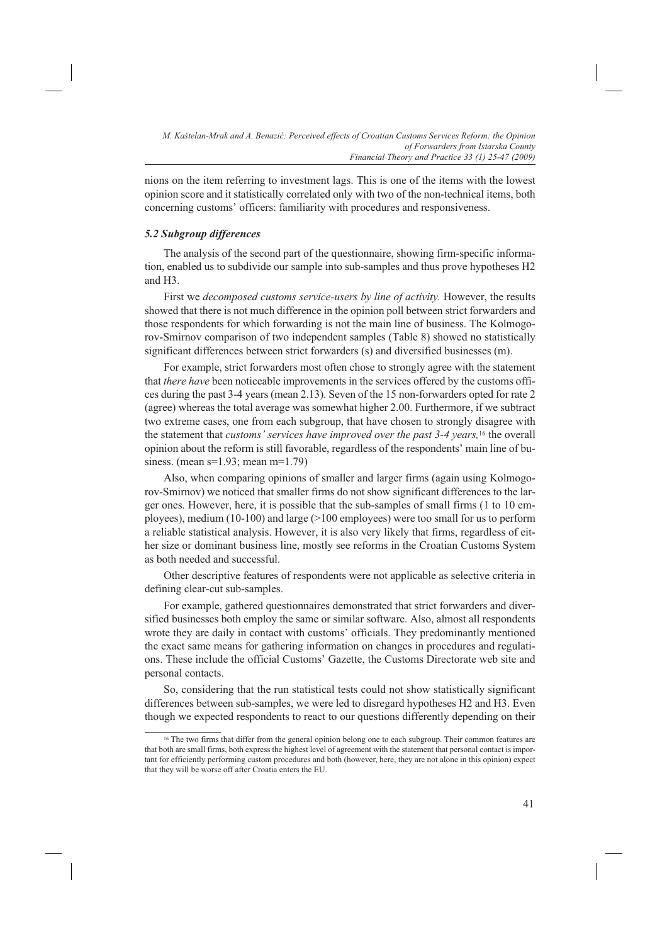nions on the item referring to investment lags. This is one of the items with the lowest opinion score and it statistically correlated only with two of the non-technical items, both concerning customs' officers: familiarity with procedures and responsiveness.

# *5.2 Subgroup differences*

The analysis of the second part of the questionnaire, showing firm-specific information, enabled us to subdivide our sample into sub-samples and thus prove hypotheses H2 and H3.

First we *decomposed customs service-users by line of activity.* However, the results showed that there is not much difference in the opinion poll between strict forwarders and those respondents for which forwarding is not the main line of business. The Kolmogorov-Smirnov comparison of two independent samples (Table 8) showed no statistically significant differences between strict forwarders (s) and diversified businesses (m).

For example, strict forwarders most often chose to strongly agree with the statement that *there have* been noticeable improvements in the services offered by the customs offices during the past 3-4 years (mean 2.13). Seven of the 15 non-forwarders opted for rate 2 (agree) whereas the total average was somewhat higher 2.00. Furthermore, if we subtract two extreme cases, one from each subgroup, that have chosen to strongly disagree with the statement that *customs' services have improved over the past 3-4 years,*16 the overall opinion about the reform is still favorable, regardless of the respondents' main line of business. (mean s=1.93; mean m=1.79)

Also, when comparing opinions of smaller and larger firms (again using Kolmogorov-Smirnov) we noticed that smaller firms do not show significant differences to the larger ones. However, here, it is possible that the sub-samples of small firms (1 to 10 employees), medium (10-100) and large (>100 employees) were too small for us to perform a reliable statistical analysis. However, it is also very likely that firms, regardless of either size or dominant business line, mostly see reforms in the Croatian Customs System as both needed and successful.

Other descriptive features of respondents were not applicable as selective criteria in defining clear-cut sub-samples.

For example, gathered questionnaires demonstrated that strict forwarders and diversified businesses both employ the same or similar software. Also, almost all respondents wrote they are daily in contact with customs' officials. They predominantly mentioned the exact same means for gathering information on changes in procedures and regulations. These include the official Customs' Gazette, the Customs Directorate web site and personal contacts.

So, considering that the run statistical tests could not show statistically significant differences between sub-samples, we were led to disregard hypotheses H2 and H3. Even though we expected respondents to react to our questions differently depending on their

<sup>&</sup>lt;sup>16</sup> The two firms that differ from the general opinion belong one to each subgroup. Their common features are that both are small firms, both express the highest level of agreement with the statement that personal contact is important for efficiently performing custom procedures and both (however, here, they are not alone in this opinion) expect that they will be worse off after Croatia enters the EU.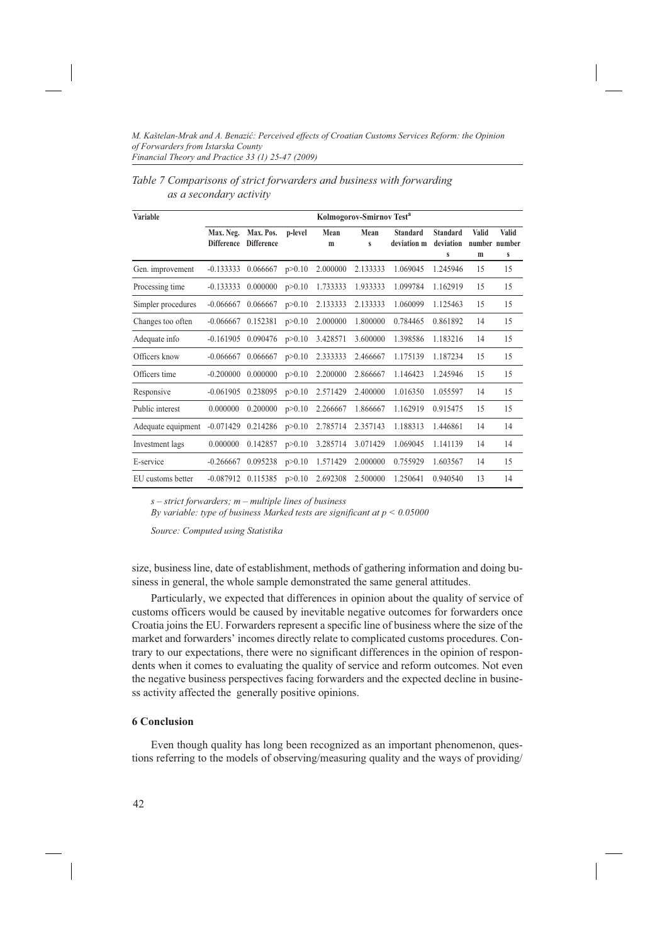| Variable           |                                |                                |          |           | Kolmogorov-Smirnov Test <sup>a</sup> |                                |                                   |                   |                             |
|--------------------|--------------------------------|--------------------------------|----------|-----------|--------------------------------------|--------------------------------|-----------------------------------|-------------------|-----------------------------|
|                    | Max. Neg.<br><b>Difference</b> | Max. Pos.<br><b>Difference</b> | p-level  | Mean<br>m | Mean<br>S                            | <b>Standard</b><br>deviation m | <b>Standard</b><br>deviation<br>S | <b>Valid</b><br>m | Valid<br>number number<br>S |
| Gen. improvement   | $-0.133333$                    | 0.066667                       | p > 0.10 | 2.000000  | 2.133333                             | 1.069045                       | 1.245946                          | 15                | 15                          |
| Processing time    | $-0.133333$                    | 0.000000                       | p > 0.10 | 1.733333  | 1.933333                             | 1.099784                       | 1.162919                          | 15                | 15                          |
| Simpler procedures | $-0.066667$                    | 0.066667                       | p > 0.10 | 2.133333  | 2.133333                             | 1.060099                       | 1.125463                          | 15                | 15                          |
| Changes too often  | $-0.066667$                    | 0.152381                       | p > 0.10 | 2.000000  | 1.800000                             | 0.784465                       | 0.861892                          | 14                | 15                          |
| Adequate info      | $-0.161905$                    | 0.090476                       | p > 0.10 | 3.428571  | 3.600000                             | 1.398586                       | 1.183216                          | 14                | 15                          |
| Officers know      | $-0.066667$                    | 0.066667                       | p > 0.10 | 2.333333  | 2.466667                             | 1.175139                       | 1.187234                          | 15                | 15                          |
| Officers time      | $-0.200000$                    | 0.000000                       | p > 0.10 | 2.200000  | 2.866667                             | 1.146423                       | 1.245946                          | 15                | 15                          |
| Responsive         | $-0.061905$                    | 0.238095                       | p > 0.10 | 2.571429  | 2.400000                             | 1.016350                       | 1.055597                          | 14                | 15                          |
| Public interest    | 0.000000                       | 0.200000                       | p > 0.10 | 2.266667  | 1.866667                             | 1.162919                       | 0.915475                          | 15                | 15                          |
| Adequate equipment | $-0.071429$                    | 0.214286                       | p > 0.10 | 2.785714  | 2.357143                             | 1.188313                       | 1.446861                          | 14                | 14                          |
| Investment lags    | 0.000000                       | 0.142857                       | p > 0.10 | 3.285714  | 3.071429                             | 1.069045                       | 1.141139                          | 14                | 14                          |
| E-service          | $-0.266667$                    | 0.095238                       | p > 0.10 | 1.571429  | 2.000000                             | 0.755929                       | 1.603567                          | 14                | 15                          |
| EU customs better  | $-0.087912$                    | 0.115385                       | p > 0.10 | 2.692308  | 2.500000                             | 1.250641                       | 0.940540                          | 13                | 14                          |

| Table 7 Comparisons of strict forwarders and business with forwarding |
|-----------------------------------------------------------------------|
| as a secondary activity                                               |

*s – strict forwarders; m – multiple lines of business By variable: type of business Marked tests are significant at p < 0.05000*

*Source: Computed using Statistika*

size, business line, date of establishment, methods of gathering information and doing business in general, the whole sample demonstrated the same general attitudes.

Particularly, we expected that differences in opinion about the quality of service of customs officers would be caused by inevitable negative outcomes for forwarders once Croatia joins the EU. Forwarders represent a specific line of business where the size of the market and forwarders' incomes directly relate to complicated customs procedures. Contrary to our expectations, there were no significant differences in the opinion of respondents when it comes to evaluating the quality of service and reform outcomes. Not even the negative business perspectives facing forwarders and the expected decline in business activity affected the generally positive opinions.

#### **6 Conclusion**

Even though quality has long been recognized as an important phenomenon, questions referring to the models of observing/measuring quality and the ways of providing/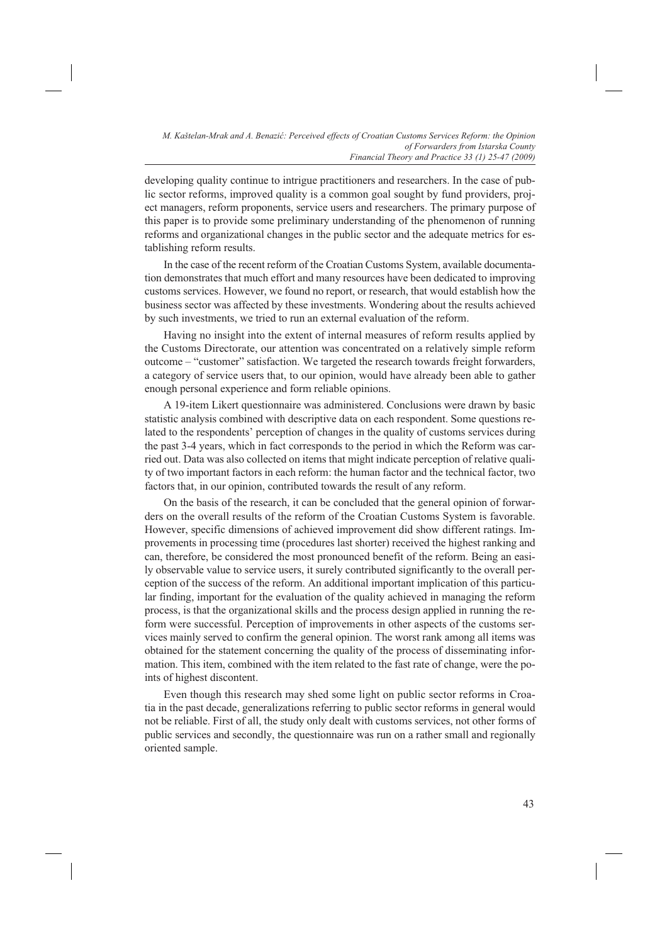developing quality continue to intrigue practitioners and researchers. In the case of public sector reforms, improved quality is a common goal sought by fund providers, project managers, reform proponents, service users and researchers. The primary purpose of this paper is to provide some preliminary understanding of the phenomenon of running reforms and organizational changes in the public sector and the adequate metrics for establishing reform results.

In the case of the recent reform of the Croatian Customs System, available documentation demonstrates that much effort and many resources have been dedicated to improving customs services. However, we found no report, or research, that would establish how the business sector was affected by these investments. Wondering about the results achieved by such investments, we tried to run an external evaluation of the reform.

Having no insight into the extent of internal measures of reform results applied by the Customs Directorate, our attention was concentrated on a relatively simple reform outcome – "customer" satisfaction. We targeted the research towards freight forwarders, a category of service users that, to our opinion, would have already been able to gather enough personal experience and form reliable opinions.

A 19-item Likert questionnaire was administered. Conclusions were drawn by basic statistic analysis combined with descriptive data on each respondent. Some questions related to the respondents' perception of changes in the quality of customs services during the past 3-4 years, which in fact corresponds to the period in which the Reform was carried out. Data was also collected on items that might indicate perception of relative quality of two important factors in each reform: the human factor and the technical factor, two factors that, in our opinion, contributed towards the result of any reform.

On the basis of the research, it can be concluded that the general opinion of forwarders on the overall results of the reform of the Croatian Customs System is favorable. However, specific dimensions of achieved improvement did show different ratings. Improvements in processing time (procedures last shorter) received the highest ranking and can, therefore, be considered the most pronounced benefit of the reform. Being an easily observable value to service users, it surely contributed significantly to the overall perception of the success of the reform. An additional important implication of this particular finding, important for the evaluation of the quality achieved in managing the reform process, is that the organizational skills and the process design applied in running the reform were successful. Perception of improvements in other aspects of the customs services mainly served to confirm the general opinion. The worst rank among all items was obtained for the statement concerning the quality of the process of disseminating information. This item, combined with the item related to the fast rate of change, were the points of highest discontent.

Even though this research may shed some light on public sector reforms in Croatia in the past decade, generalizations referring to public sector reforms in general would not be reliable. First of all, the study only dealt with customs services, not other forms of public services and secondly, the questionnaire was run on a rather small and regionally oriented sample.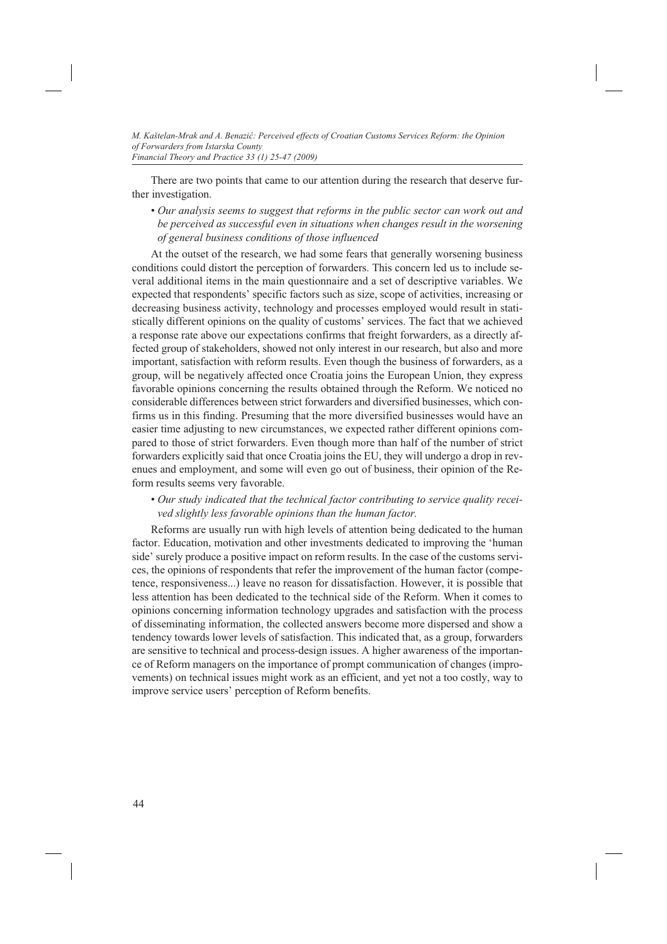There are two points that came to our attention during the research that deserve further investigation.

• *Our analysis seems to suggest that reforms in the public sector can work out and be perceived as successful even in situations when changes result in the worsening of general business conditions of those influenced*

At the outset of the research, we had some fears that generally worsening business conditions could distort the perception of forwarders. This concern led us to include several additional items in the main questionnaire and a set of descriptive variables. We expected that respondents' specific factors such as size, scope of activities, increasing or decreasing business activity, technology and processes employed would result in statistically different opinions on the quality of customs' services. The fact that we achieved a response rate above our expectations confirms that freight forwarders, as a directly affected group of stakeholders, showed not only interest in our research, but also and more important, satisfaction with reform results. Even though the business of forwarders, as a group, will be negatively affected once Croatia joins the European Union, they express favorable opinions concerning the results obtained through the Reform. We noticed no considerable differences between strict forwarders and diversified businesses, which confirms us in this finding. Presuming that the more diversified businesses would have an easier time adjusting to new circumstances, we expected rather different opinions compared to those of strict forwarders. Even though more than half of the number of strict forwarders explicitly said that once Croatia joins the EU, they will undergo a drop in revenues and employment, and some will even go out of business, their opinion of the Reform results seems very favorable.

# • *Our study indicated that the technical factor contributing to service quality received slightly less favorable opinions than the human factor.*

Reforms are usually run with high levels of attention being dedicated to the human factor. Education, motivation and other investments dedicated to improving the 'human side' surely produce a positive impact on reform results. In the case of the customs services, the opinions of respondents that refer the improvement of the human factor (competence, responsiveness...) leave no reason for dissatisfaction. However, it is possible that less attention has been dedicated to the technical side of the Reform. When it comes to opinions concerning information technology upgrades and satisfaction with the process of disseminating information, the collected answers become more dispersed and show a tendency towards lower levels of satisfaction. This indicated that, as a group, forwarders are sensitive to technical and process-design issues. A higher awareness of the importance of Reform managers on the importance of prompt communication of changes (improvements) on technical issues might work as an efficient, and yet not a too costly, way to improve service users' perception of Reform benefits.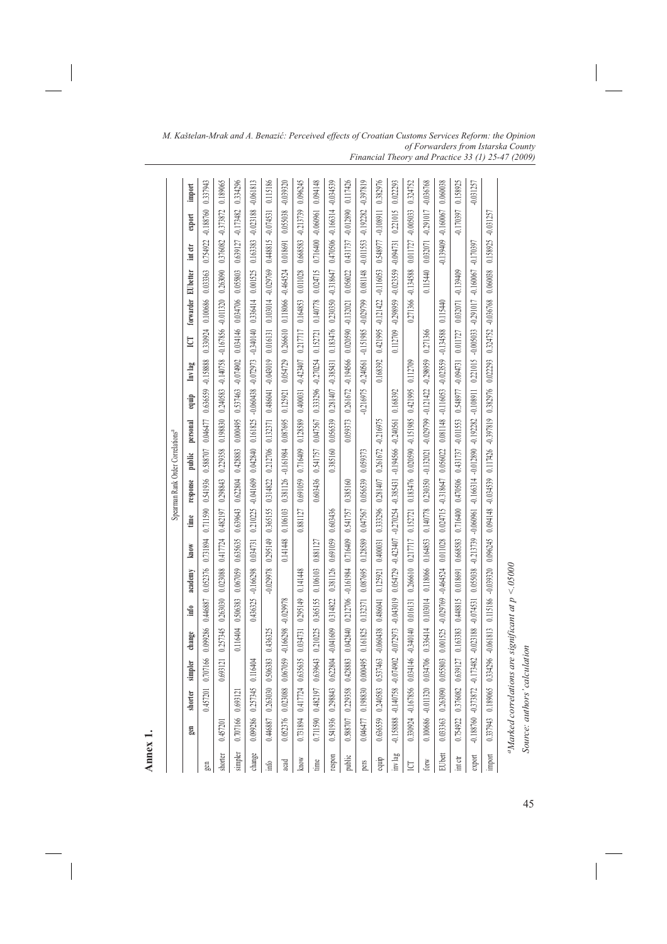| ÷ |
|---|
| ⊭ |
| Φ |
| J |
|   |
| ۰ |

|                  |                        |          |          |                        |             |                                                                 |                   |          |                                      | Spearman Rank Order Correlations <sup>4</sup>              |             |             |                                                |                    |                    |                                        |             |             |             |
|------------------|------------------------|----------|----------|------------------------|-------------|-----------------------------------------------------------------|-------------------|----------|--------------------------------------|------------------------------------------------------------|-------------|-------------|------------------------------------------------|--------------------|--------------------|----------------------------------------|-------------|-------------|-------------|
|                  | gen                    | shorter  | simpler  | change                 | info        | academy                                                         | know              | time     | response                             | public                                                     | personal    | equip       | Inv lag                                        | <b>ICI</b>         | forwarder EUbetter |                                        | int ctr     | export      | import      |
|                  |                        | 0.457201 | 1.707166 | 0.099286               | 0.446887    | 0.052376                                                        | 0.731894          |          | 0.711590 0.541936                    | 0.588707                                                   | 0.046477    |             | 0.636559 -0.158888                             | 0.330924           | 0.100686           | 0.033363                               | 0.754922    | $-0.188760$ | 0.337943    |
| shorter          | 0.457201               |          | 1.693121 | 0.257345               | 0263030     | 0.023088                                                        | 0.417724          | 0.482197 | 0.298843                             | 0.229358                                                   | 0.198830    | 0.240583    | $-0.140758$                                    | $-0.167856$        | $-0.011320$        | 0.263090                               | 0.376082    | $-0.373872$ | 0.189065    |
| simpler          | 0.707166 0.693121      |          |          | 0.116404               | 0.506383    |                                                                 | 0.067059 0.635635 |          | 0.639643 0.622804                    | 0.428883                                                   | 0.000495    | 0.537463    | -0.074902                                      | 0.034146           | 0.034706           | 0.055803                               | 0.639127    | $-0.173482$ | 0.334296    |
| change           | 0.099286 0.257345      |          | 0.116404 |                        | 0.436325    | $-0.166298$                                                     |                   |          |                                      | 0.034731 0.210225 -0.041609 0.042840 0.161825              |             |             | $-0.060438$ $-0.072973$ $-0.340140$            |                    | 0.336414           | 0.001525                               | 0.163383    | $-0.023188$ | $-0.061813$ |
| $\inf$           | 0.446887 0.263030      |          | 1,506383 | 0.436325               |             | $-0.029978$                                                     | 0.295149          | 0.365155 | 0.314822                             | 0.212706                                                   | 0.132371    |             | 0.486041 -0.043019                             | 0.016131           | 0.103014 -0.029769 |                                        | 0.448815    | $-0.074531$ | 0.115186    |
| ad               | 0.052376 0.023088      |          | 0.067059 | $-0.166298$            | $-0.029978$ |                                                                 | 0.141448          | 0.106103 | 0.381126                             | $-0.161984$                                                | 0.087695    | 0.125921    | 0.054729 0.266610                              |                    | 0.118066           | $-0.464524$                            | 0.018691    | 0.055038    | $-0.039320$ |
| MOW              | 0.731894 0.417724      |          | 1.635635 | 0.034731               | 0.295149    | 0.141448                                                        |                   | 0.881127 | 0.691059                             | 0.716409                                                   | 0.128589    |             | 0.400031 -0.423407                             | 0.217717           | 0.164853           | 0.011028                               | 0.668583    | $-0.213739$ | 0.096245    |
| $\lim_{x \to 0}$ | 0.711590 0.482197      |          | 1.639643 | 0.210225               | 0.365155    | 0.106103                                                        | 0.881127          |          | 0.603436                             | 0.541757                                                   | 0.047567    |             | 0.333296 -0.270254                             | 0.152721           | 0.140778           | 0.024715                               | 0.716400    | $-0.060961$ | 0.094148    |
| modsa:           | 0.541936 0.298843      |          | 0.622804 | $-0.041609$            | 0.314822    | 0.381126                                                        | 0.691059          | 0.603436 |                                      | 0.385160                                                   | 0.056539    | 0.281407    | $-0.385431$                                    | 0.183476           | 0.230350           | $-0.318647$                            | 0.470506    | $-0.166314$ | $-0.034539$ |
| public           | 0.588707 0.229358      |          | 0.428883 |                        |             | 0.042840 0.212706 -0.161984                                     | 0.716409 0.541757 |          | 0.385160                             |                                                            | 0.059373    |             | 0.261672 -0.194566 0.020590 -0.132021 0.056022 |                    |                    |                                        | 0.431737    | $-0.012890$ | 0.117426    |
| pers             | 0.046477 0.198830      |          | 0.000495 | 0.161825               | 0.132371    | 0.087695                                                        | 0.128589          | 0.047567 | 0.056539 0.059373                    |                                                            |             |             | -0.216975 -0.240561 -0.151985 -0.029799        |                    |                    | 0.081148                               | $-0.011553$ | $-0.192282$ | -0.397819   |
| equip            | 0.636559 0.240583      |          | 1.537463 | $-0.060438$            | 0.486041    | 0.125921                                                        | 0.400031          | 0.333296 | 0.281407                             | 0.261672                                                   | $-0.216975$ |             | 0.168392                                       | 0.421995           | $-0.121422$        | $-0.116053$                            | 0.548977    | $-0.108911$ | 0.382976    |
| inv lag          | -0.158888 -0.140758    |          |          |                        |             |                                                                 |                   |          |                                      |                                                            |             |             |                                                |                    |                    | 0.112709 -0.298959 -0.023559 -0.094731 |             | 0.221015    | 0.022293    |
| <b>P</b>         | 0.330924 -0.167856     |          |          | 0.034146 -0.340140     | 0.016131    |                                                                 |                   |          |                                      | 0.266610 0.217717 0.183476 0.020590 -0.151985 0.421995     |             |             | 0.112709                                       |                    | 0.271366           | $-0.134588$                            | 0.011727    | $-0.005033$ | 0.324752    |
| forw             | 0.100686 -0.011320     |          | 0.034706 | 0.336414               | 0.103014    | 0.118066                                                        | 0.164853          | 0.140778 | 0.230350                             | $-0.132021$                                                | $-0.029799$ | $-0.121422$ | $-0.298959$                                    | 0.271366           |                    | 0.115440                               | 0.032071    | $-0.291017$ | $-0.036768$ |
| EUbett           | 0.033363 0.263090      |          |          | 0.055803 0.001525      |             | -0.029769 -0.464524                                             |                   |          | 0.011028 0.024715 -0.318647 0.056022 |                                                            | 0.081148    |             | $-0.116053 - 0.023559 - 0.134588$              |                    | 0.115440           |                                        | $-0.139409$ | $-0.160067$ | 0.060038    |
| int ctr          | 0.754922 0.376082      |          | 1.639127 | 0.163383               |             | 0.448815 0.018691 0.668583 0.716400 0.470506 0.431737 -0.011553 |                   |          |                                      |                                                            |             |             | 0.548977 -0.094731 0.011727                    |                    | 0.032071           | $-0.139409$                            |             | $-0.170397$ | 0.158925    |
| export           | $-0.188760 - 0.373872$ |          |          | $-0.173482 - 0.023188$ | $-0.074531$ |                                                                 |                   |          |                                      | 0.055038 -0.213739 -0.060961 -0.166314 -0.012890 -0.192282 |             | $-0.108911$ | 0.221015 -0.005033 -0.291017                   |                    |                    | $-0.160067$                            | $-0.170397$ |             | $-0.031257$ |
| import           | 0.337943 0.189065      |          | 0.334296 | $-0.061813$            | 0.115186    | $-0.039320$                                                     |                   |          |                                      | 0.096245 0.094148 -0.034539 0.117426 -0.397819 0.382976    |             |             | 0.022293                                       | 0.324752 -0.036768 |                    | 0.060038                               | 0.158925    | $-0.031257$ |             |
|                  |                        |          |          |                        |             | <sup>a</sup> Marked correlations are significant at $p < 05000$ |                   |          |                                      |                                                            |             |             |                                                |                    |                    |                                        |             |             |             |

45

*Source: authors' calculation*

Source: authors' calculation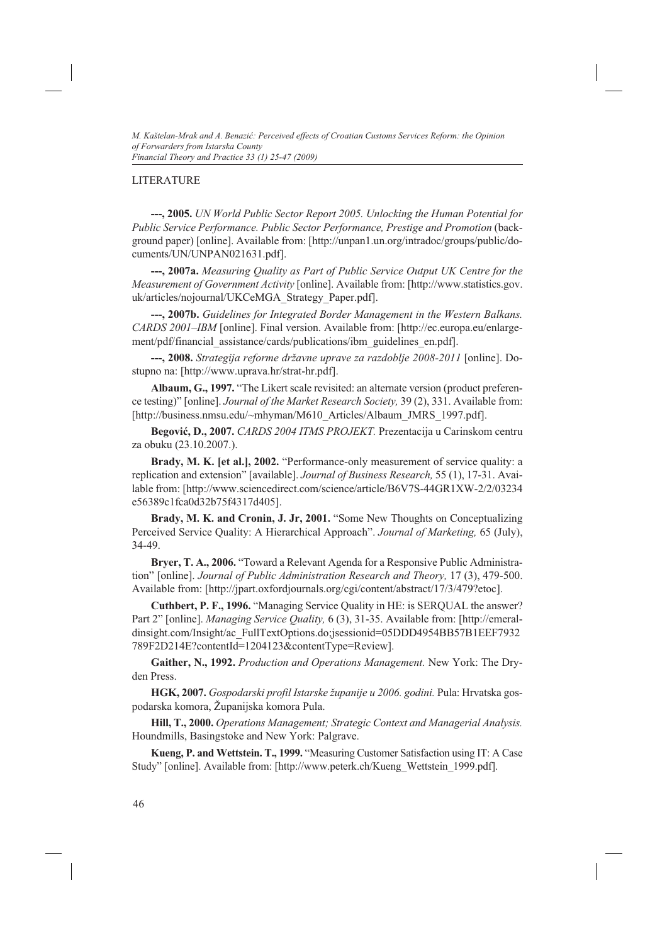# LITERATURE

**---, 2005.** *UN World Public Sector Report 2005. Unlocking the Human Potential for*  Public Service Performance. Public Sector Performance, Prestige and Promotion (background paper) [online]. Available from: [http://unpan1.un.org/intradoc/groups/public/documents/UN/UNPAN021631.pdf].

**---, 2007a.** *Measuring Quality as Part of Public Service Output UK Centre for the Measurement of Government Activity* [online]. Available from: [http://www.statistics.gov. uk/articles/nojournal/UKCeMGA\_Strategy\_Paper.pdf].

**---, 2007b.** *Guidelines for Integrated Border Management in the Western Balkans. CARDS 2001–IBM* [online]. Final version. Available from: [http://ec.europa.eu/enlargement/pdf/financial\_assistance/cards/publications/ibm\_guidelines\_en.pdf].

**---, 2008.** *Strategija reforme državne uprave za razdoblje 2008-2011* [online]. Dostupno na: [http://www.uprava.hr/strat-hr.pdf].

**Albaum, G., 1997.** "The Likert scale revisited: an alternate version (product preference testing)" [online]. *Journal of the Market Research Society,* 39 (2), 331. Available from: [http://business.nmsu.edu/~mhyman/M610\_Articles/Albaum\_JMRS\_1997.pdf].

**Begović, D., 2007.** *CARDS 2004 ITMS PROJEKT.* Prezentacija u Carinskom centru za obuku (23.10.2007.).

**Brady, M. K. [et al.], 2002.** "Performance-only measurement of service quality: a replication and extension" [available]. *Journal of Business Research,* 55 (1), 17-31. Available from: [http://www.sciencedirect.com/science/article/B6V7S-44GR1XW-2/2/03234 e56389c1fca0d32b75f4317d405].

**Brady, M. K. and Cronin, J. Jr, 2001.** "Some New Thoughts on Conceptualizing Perceived Service Quality: A Hierarchical Approach". *Journal of Marketing,* 65 (July), 34-49.

**Bryer, T. A., 2006.** "Toward a Relevant Agenda for a Responsive Public Administration" [online]. *Journal of Public Administration Research and Theory,* 17 (3), 479-500. Available from: [http://jpart.oxfordjournals.org/cgi/content/abstract/17/3/479?etoc].

**Cuthbert, P. F., 1996.** "Managing Service Quality in HE: is SERQUAL the answer? Part 2" [online]. *Managing Service Quality,* 6 (3), 31-35. Available from: [http://emeraldinsight.com/Insight/ac\_FullTextOptions.do;jsessionid=05DDD4954BB57B1EEF7932 789F2D214E?contentId=1204123&contentType=Review].

**Gaither, N., 1992.** *Production and Operations Management.* New York: The Dryden Press.

**HGK, 2007.** *Gospodarski profil Istarske županije u 2006. godini.* Pula: Hrvatska gospodarska komora, Županijska komora Pula.

**Hill, T., 2000.** *Operations Management; Strategic Context and Managerial Analysis.* Houndmills, Basingstoke and New York: Palgrave.

**Kueng, P. and Wettstein. T., 1999.** "Measuring Customer Satisfaction using IT: A Case Study" [online]. Available from: [http://www.peterk.ch/Kueng\_Wettstein\_1999.pdf].